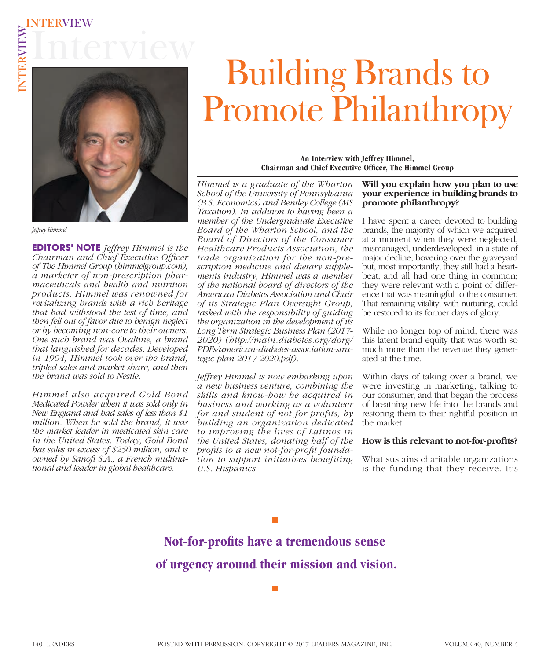

*Jeffrey Himmel*

**EDITORS' NOTE** *Jeffrey Himmel is the Chairman and Chief Executive Officer of The Himmel Group (himmelgroup.com), a marketer of non-prescription pharmaceuticals and health and nutrition products. Himmel was renowned for revitalizing brands with a rich heritage that had withstood the test of time, and then fell out of favor due to benign neglect or by becoming non-core to their owners. One such brand was Ovaltine, a brand that languished for decades. Developed in 1904, Himmel took over the brand, tripled sales and market share, and then the brand was sold to Nestle.*

*Himmel also acquired Gold Bond Medicated Powder when it was sold only in New England and had sales of less than \$1 million. When he sold the brand, it was the market leader in medicated skin care in the United States. Today, Gold Bond has sales in excess of \$250 million, and is owned by Sanofi S.A., a French multinational and leader in global healthcare.*

# Building Brands to Promote Philanthropy

**An Interview with Jeffrey Himmel, Chairman and Chief Executive Officer, The Himmel Group** 

*Himmel is a graduate of the Wharton School of the University of Pennsylvania (B.S. Economics) and Bentley College (MS Taxation). In addition to having been a member of the Undergraduate Executive Board of the Wharton School, and the Board of Directors of the Consumer Healthcare Products Association, the trade organization for the non-prescription medicine and dietary supplements industry, Himmel was a member of the national board of directors of the American Diabetes Association and Chair of its Strategic Plan Oversight Group, tasked with the responsibility of guiding the organization in the development of its Long Term Strategic Business Plan (2017- 2020) (http://main.diabetes.org/dorg/ PDFs/american-diabetes-association-strategic-plan-2017-2020.pdf).* 

*Jeffrey Himmel is now embarking upon a new business venture, combining the skills and know-how he acquired in business and working as a volunteer for and student of not-for-profits, by building an organization dedicated to improving the lives of Latinos in the United States, donating half of the*  profits to a new not-for-profit founda*tion to support initiatives benefiting U.S. Hispanics.* 

#### **Will you explain how you plan to use your experience in building brands to promote philanthropy?**

I have spent a career devoted to building brands, the majority of which we acquired at a moment when they were neglected, mismanaged, underdeveloped, in a state of major decline, hovering over the graveyard but, most importantly, they still had a heartbeat, and all had one thing in common; they were relevant with a point of difference that was meaningful to the consumer. That remaining vitality, with nurturing, could be restored to its former days of glory.

While no longer top of mind, there was this latent brand equity that was worth so much more than the revenue they generated at the time.

Within days of taking over a brand, we were investing in marketing, talking to our consumer, and that began the process of breathing new life into the brands and restoring them to their rightful position in the market.

#### How is this relevant to not-for-profits?

What sustains charitable organizations is the funding that they receive. It's

Not-for-profits have a tremendous sense **of urgency around their mission and vision.**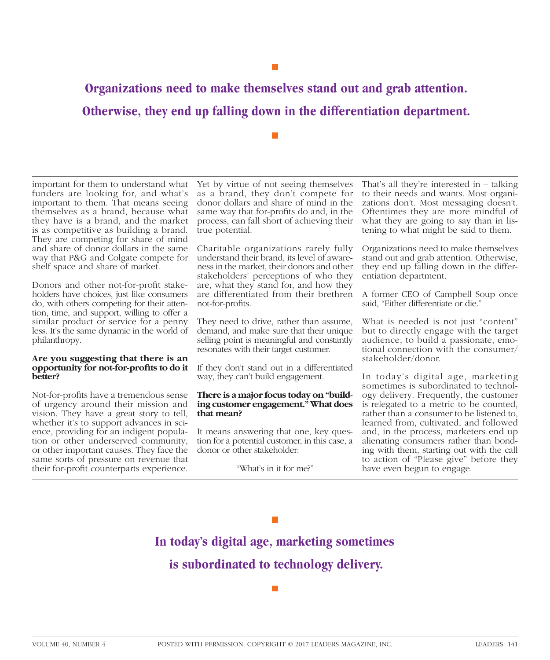**Organizations need to make themselves stand out and grab attention. Otherwise, they end up falling down in the differentiation department.**

important for them to understand what funders are looking for, and what's important to them. That means seeing themselves as a brand, because what they have is a brand, and the market is as competitive as building a brand. They are competing for share of mind and share of donor dollars in the same way that P&G and Colgate compete for shelf space and share of market.

Donors and other not-for-profit stakeholders have choices, just like consumers do, with others competing for their attention, time, and support, willing to offer a similar product or service for a penny less. It's the same dynamic in the world of philanthropy.

#### **Are you suggesting that there is an**  opportunity for not-for-profits to do it **better?**

Not-for-profits have a tremendous sense of urgency around their mission and vision. They have a great story to tell, whether it's to support advances in science, providing for an indigent population or other underserved community, or other important causes. They face the same sorts of pressure on revenue that their for-profit counterparts experience.

Yet by virtue of not seeing themselves as a brand, they don't compete for donor dollars and share of mind in the same way that for-profits do and, in the process, can fall short of achieving their true potential.

Charitable organizations rarely fully understand their brand, its level of awareness in the market, their donors and other stakeholders' perceptions of who they are, what they stand for, and how they are differentiated from their brethren not-for-profits.

They need to drive, rather than assume, demand, and make sure that their unique selling point is meaningful and constantly resonates with their target customer.

If they don't stand out in a differentiated way, they can't build engagement.

## **There is a major focus today on "building customer engagement." What does that mean?**

It means answering that one, key question for a potential customer, in this case, a donor or other stakeholder:

"What's in it for me?"

That's all they're interested in – talking to their needs and wants. Most organizations don't. Most messaging doesn't. Oftentimes they are more mindful of what they are going to say than in listening to what might be said to them.

Organizations need to make themselves stand out and grab attention. Otherwise, they end up falling down in the differentiation department.

A former CEO of Campbell Soup once said, "Either differentiate or die."

What is needed is not just "content" but to directly engage with the target audience, to build a passionate, emotional connection with the consumer/ stakeholder/donor.

In today's digital age, marketing sometimes is subordinated to technology delivery. Frequently, the customer is relegated to a metric to be counted, rather than a consumer to be listened to, learned from, cultivated, and followed and, in the process, marketers end up alienating consumers rather than bonding with them, starting out with the call to action of "Please give" before they have even begun to engage.

## $\mathbb{R}^n$

**In today's digital age, marketing sometimes is subordinated to technology delivery.**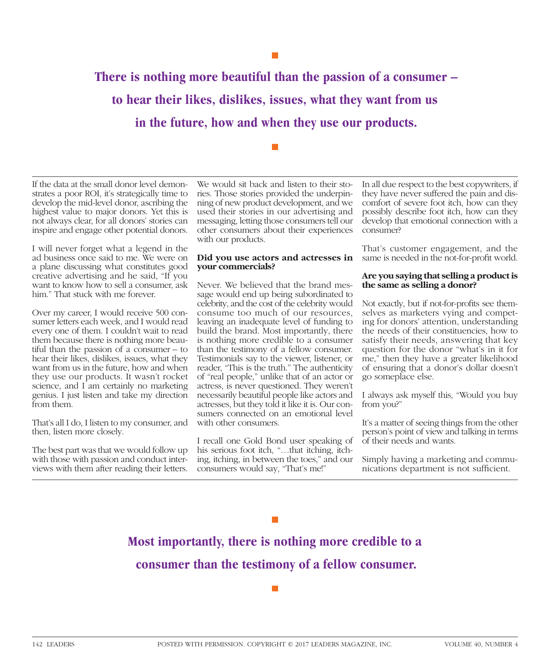**There is nothing more beautiful than the passion of a consumer – to hear their likes, dislikes, issues, what they want from us in the future, how and when they use our products.**

If the data at the small donor level demonstrates a poor ROI, it's strategically time to develop the mid-level donor, ascribing the highest value to major donors. Yet this is not always clear, for all donors' stories can inspire and engage other potential donors.

I will never forget what a legend in the ad business once said to me. We were on a plane discussing what constitutes good creative advertising and he said, "If you want to know how to sell a consumer, ask him." That stuck with me forever.

Over my career, I would receive 500 consumer letters each week, and I would read every one of them. I couldn't wait to read them because there is nothing more beautiful than the passion of a consumer – to hear their likes, dislikes, issues, what they want from us in the future, how and when they use our products. It wasn't rocket science, and I am certainly no marketing genius. I just listen and take my direction from them.

That's all I do, I listen to my consumer, and then, listen more closely.

The best part was that we would follow up with those with passion and conduct interviews with them after reading their letters.

We would sit back and listen to their stories. Those stories provided the underpinning of new product development, and we used their stories in our advertising and messaging, letting those consumers tell our other consumers about their experiences with our products.

#### **Did you use actors and actresses in** same is needed in the not-for-profit world. **your commercials?**

Never. We believed that the brand message would end up being subordinated to celebrity, and the cost of the celebrity would consume too much of our resources, leaving an inadequate level of funding to build the brand. Most importantly, there is nothing more credible to a consumer than the testimony of a fellow consumer. Testimonials say to the viewer, listener, or reader, "This is the truth." The authenticity of "real people," unlike that of an actor or actress, is never questioned. They weren't necessarily beautiful people like actors and actresses, but they told it like it is. Our consumers connected on an emotional level with other consumers.

I recall one Gold Bond user speaking of his serious foot itch, "...that itching, itching, itching, in between the toes," and our consumers would say, "That's me!"

In all due respect to the best copywriters, if they have never suffered the pain and discomfort of severe foot itch, how can they possibly describe foot itch, how can they develop that emotional connection with a consumer?

That's customer engagement, and the

### **Are you saying that selling a product is the same as selling a donor?**

Not exactly, but if not-for-profits see themselves as marketers vying and competing for donors' attention, understanding the needs of their constituencies, how to satisfy their needs, answering that key question for the donor "what's in it for me," then they have a greater likelihood of ensuring that a donor's dollar doesn't go someplace else.

I always ask myself this, "Would you buy from you?"

It's a matter of seeing things from the other person's point of view and talking in terms of their needs and wants.

Simply having a marketing and communications department is not sufficient.

**Most importantly, there is nothing more credible to a consumer than the testimony of a fellow consumer.**